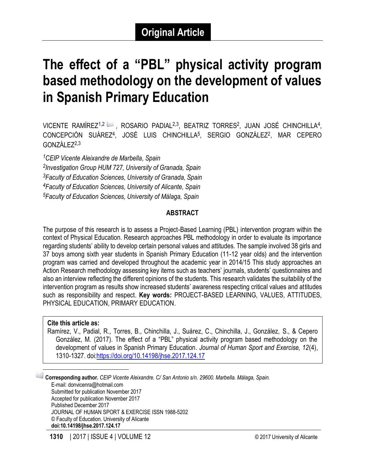# **The effect of a "PBL" physical activity program based methodology on the development of values in Spanish Primary Education**

VICENTE RAMÍREZ<sup>1,2</sup> →, ROSARIO PADIAL<sup>2,3</sup>, BEATRIZ TORRES<sup>2</sup>, JUAN JOSÉ CHINCHILLA<sup>4</sup>, CONCEPCIÓN SUÁREZ<sup>4</sup>, JOSÉ LUIS CHINCHILLA<sup>5</sup>, SERGIO GONZÁLEZ<sup>2</sup>, MAR CEPERO GONZÁLEZ2,3

*CEIP Vicente Aleixandre de Marbella, Spain Investigation Group HUM 727, University of Granada, Spain Faculty of Education Sciences, University of Granada, Spain Faculty of Education Sciences, University of Alicante, Spain Faculty of Education Sciences, University of Málaga, Spain*

## **ABSTRACT**

The purpose of this research is to assess a Project-Based Learning (PBL) intervention program within the context of Physical Education. Research approaches PBL methodology in order to evaluate its importance regarding students' ability to develop certain personal values and attitudes. The sample involved 38 girls and 37 boys among sixth year students in Spanish Primary Education (11-12 year olds) and the intervention program was carried and developed throughout the academic year in 2014/15 This study approaches an Action Research methodology assessing key items such as teachers' journals, students' questionnaires and also an interview reflecting the different opinions of the students. This research validates the suitability of the intervention program as results show increased students' awareness respecting critical values and attitudes such as responsibility and respect. **Key words:** PROJECT-BASED LEARNING, VALUES, ATTITUDES, PHYSICAL EDUCATION, PRIMARY EDUCATION.

#### **Cite this article as:**

 $\overline{\phantom{a}}$ 

Ramírez, V., Padial, R., Torres, B., Chinchilla, J., Suárez, C., Chinchilla, J., González, S., & Cepero González, M. (2017). The effect of a "PBL" physical activity program based methodology on the development of values in Spanish Primary Education. *Journal of Human Sport and Exercise, 12*(4), 1310-1327. doi[:https://doi.org/10.14198/jhse.2017.124.17](https://doi.org/10.14198/jhse.2017.124.17)

1 **Corresponding author.** *CEIP Vicente Aleixandre. C/ San Antonio s/n. 29600. Marbella. Málaga, Spain.* E-mail: donvicenra@hotmail.com Submitted for publication November 2017 Accepted for publication November 2017 Published December 2017 JOURNAL OF HUMAN SPORT & EXERCISE ISSN 1988-5202 © Faculty of Education. University of Alicante **doi:10.14198/jhse.2017.124.17**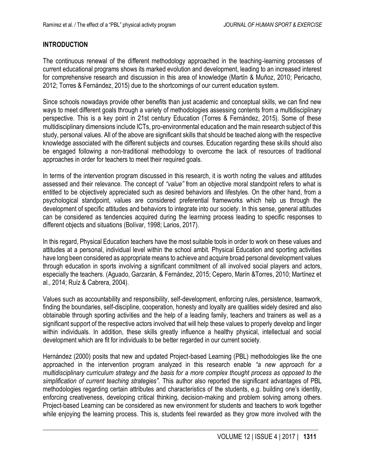## **INTRODUCTION**

The continuous renewal of the different methodology approached in the teaching-learning processes of current educational programs shows its marked evolution and development, leading to an increased interest for comprehensive research and discussion in this area of knowledge (Martín & Muñoz, 2010; Pericacho, 2012; Torres & Fernández, 2015) due to the shortcomings of our current education system.

Since schools nowadays provide other benefits than just academic and conceptual skills, we can find new ways to meet different goals through a variety of methodologies assessing contents from a multidisciplinary perspective. This is a key point in 21st century Education (Torres & Fernández, 2015). Some of these multidisciplinary dimensions include ICTs, pro-environmental education and the main research subject of this study, personal values. All of the above are significant skills that should be teached along with the respective knowledge associated with the different subjects and courses. Education regarding these skills should also be engaged following a non-traditional methodology to overcome the lack of resources of traditional approaches in order for teachers to meet their required goals.

In terms of the intervention program discussed in this research, it is worth noting the values and attitudes assessed and their relevance. The concept of *"value"* from an objective moral standpoint refers to what is entitled to be objectively appreciated such as desired behaviors and lifestyles. On the other hand, from a psychological standpoint, values are considered preferential frameworks which help us through the development of specific attitudes and behaviors to integrate into our society. In this sense, general attitudes can be considered as tendencies acquired during the learning process leading to specific responses to different objects and situations (Bolívar, 1998; Larios, 2017).

In this regard, Physical Education teachers have the most suitable tools in order to work on these values and attitudes at a personal, individual level within the school ambit. Physical Education and sporting activities have long been considered as appropriate means to achieve and acquire broad personal development values through education in sports involving a significant commitment of all involved social players and actors, especially the teachers. (Aguado, Garzarán, & Fernández, 2015; Cepero, Marín &Torres, 2010; Martínez et al., 2014; Ruíz & Cabrera, 2004).

Values such as accountability and responsibility, self-development, enforcing rules, persistence, teamwork, finding the boundaries, self-discipline, cooperation, honesty and loyalty are qualities widely desired and also obtainable through sporting activities and the help of a leading family, teachers and trainers as well as a significant support of the respective actors involved that will help these values to properly develop and linger within individuals. In addition, these skills greatly influence a healthy physical, intellectual and social development which are fit for individuals to be better regarded in our current society.

Hernández (2000) posits that new and updated Project-based Learning (PBL) methodologies like the one approached in the intervention program analyzed in this research enable *"a new approach for a multidisciplinary curriculum strategy and the basis for a more complex thought process as opposed to the simplification of current teaching strategies".* This author also reported the significant advantages of PBL methodologies regarding certain attributes and characteristics of the students, e.g. building one's identity, enforcing creativeness, developing critical thinking, decision-making and problem solving among others. Project-based Learning can be considered as new environment for students and teachers to work together while enjoying the learning process. This is, students feel rewarded as they grow more involved with the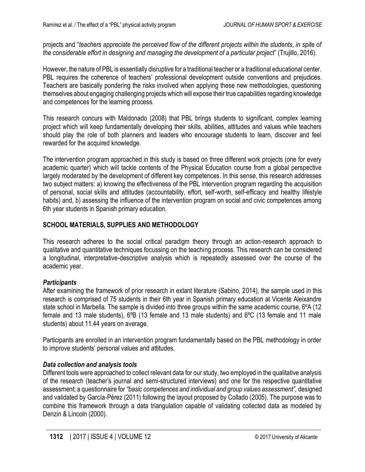projects and "*teachers appreciate the perceived flow of the different projects within the students, in spite of the considerable effort in designing and managing the development of a particular project*" (Trujillo, 2016).

However, the nature of PBL is essentially disruptive for a traditional teacher or a traditional educational center. PBL requires the coherence of teachers' professional development outside conventions and prejudices. Teachers are basically pondering the risks involved when applying these new methodologies, questioning themselves about engaging challenging projects which will expose their true capabilities regarding knowledge and competences for the learning process.

This research concurs with Maldonado (2008) that PBL brings students to significant, complex learning project which will keep fundamentally developing their skills, abilities, attitudes and values while teachers should play the role of both planners and leaders who encourage students to learn, discover and feel rewarded for the acquired knowledge.

The intervention program approached in this study is based on three different work projects (one for every academic quarter) which will tackle contents of the Physical Education course from a global perspective largely moderated by the development of different key competences. In this sense, this research addresses two subject matters: a) knowing the effectiveness of the PBL intervention program regarding the acquisition of personal, social skills and attitudes (accountability, effort, self-worth, self-efficacy and healthy lifestyle habits) and, b) assessing the influence of the intervention program on social and civic competences among 6th year students in Spanish primary education.

# **SCHOOL MATERIALS, SUPPLIES AND METHODOLOGY**

This research adheres to the social critical paradigm theory through an action-research approach to qualitative and quantitative techniques focussing on the teaching process. This research can be considered a longitudinal, interpretative-descriptive analysis which is repeatedly assessed over the course of the academic year.

# *Participants*

After examining the framework of prior research in extant literature (Sabino, 2014), the sample used in this research is comprised of 75 students in their 6th year in Spanish primary education at Vicente Aleixandre state school in Marbella. The sample is divided into three groups within the same academic course, 6°A (12 female and 13 male students), 6ºB (13 female and 13 male students) and 6ºC (13 female and 11 male students) about 11.44 years on average.

Participants are enrolled in an intervention program fundamentally based on the PBL methodology in order to improve students' personal values and attitudes.

# *Data collection and analysis tools*

Different tools were approached to collect relevant data for our study, two employed in the qualitative analysis of the research (teacher's journal and semi-structured interviews) and one for the respective quantitative assessment; a questionnaire for *"basic competences and individual and group values assessment",* designed and validated by García-Pérez (2011) following the layout proposed by Collado (2005). The purpose was to combine this framework through a data triangulation capable of validating collected data as modeled by Denzin & Lincoln (2000).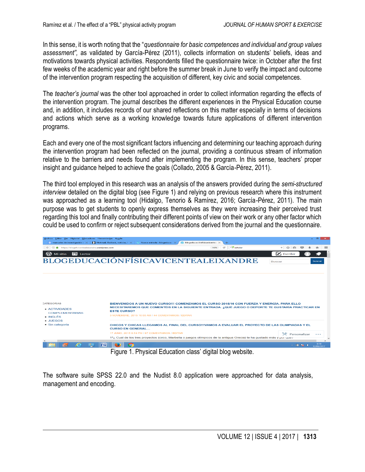In this sense, it is worth noting that the "*questionnaire for basic competences and individual and group values assessment",* as validated by García-Pérez (2011), collects information on students' beliefs, ideas and motivations towards physical activities. Respondents filled the questionnaire twice: in October after the first few weeks of the academic year and right before the summer break in June to verify the impact and outcome of the intervention program respecting the acquisition of different, key civic and social competences.

The *teacher's journal* was the other tool approached in order to collect information regarding the effects of the intervention program. The journal describes the different experiences in the Physical Education course and, in addition, it includes records of our shared reflections on this matter especially in terms of decisions and actions which serve as a working knowledge towards future applications of different intervention programs.

Each and every one of the most significant factors influencing and determining our teaching approach during the intervention program had been reflected on the journal, providing a continuous stream of information relative to the barriers and needs found after implementing the program. In this sense, teachers' proper insight and guidance helped to achieve the goals (Collado, 2005 & García-Pérez, 2011).

The third tool employed in this research was an analysis of the answers provided during the *semi-structured interview* detailed on the digital blog (see Figure 1) and relying on previous research where this instrument was approached as a learning tool (Hidalgo, Tenorio & Ramírez, 2016; García-Pérez, 2011). The main purpose was to get students to openly express themselves as they were increasing their perceived trust regarding this tool and finally contributing their different points of view on their work or any other factor which could be used to confirm or reject subsequent considerations derived from the journal and the questionnaire.

| Archivo Editar Ver Historial Marcadores Herramientas Ayuda | <b>M</b> manuales de investigación $\epsilon \times  \mathbf{M} $ Hotmail, Outlook, noticias, $f \times  \mathbf{M} $ Nueva entrada « blogeduca $\epsilon \times$ | $\mathbb{Q}$ blogeducaciónfísicavicente $\mathbb{R} \times$<br>$\pm$                                                                                                                              | - -                                            |
|------------------------------------------------------------|-------------------------------------------------------------------------------------------------------------------------------------------------------------------|---------------------------------------------------------------------------------------------------------------------------------------------------------------------------------------------------|------------------------------------------------|
| <b>O A</b> https://blogefvicentealeixandre.wordpress.com   |                                                                                                                                                                   | Coscholar<br>$\epsilon$<br>14096                                                                                                                                                                  | → ☆ 自                                          |
| $\Box$ Lector<br>Mi sitio                                  |                                                                                                                                                                   |                                                                                                                                                                                                   | <b>Escribir</b>                                |
|                                                            | BLOGEDUCACIÓNFÍSICAVICENTEALEIXANDRE                                                                                                                              |                                                                                                                                                                                                   | buscar<br><b>Buscar</b>                        |
|                                                            |                                                                                                                                                                   |                                                                                                                                                                                                   |                                                |
|                                                            |                                                                                                                                                                   |                                                                                                                                                                                                   |                                                |
|                                                            |                                                                                                                                                                   |                                                                                                                                                                                                   |                                                |
|                                                            |                                                                                                                                                                   |                                                                                                                                                                                                   |                                                |
|                                                            |                                                                                                                                                                   |                                                                                                                                                                                                   |                                                |
|                                                            |                                                                                                                                                                   |                                                                                                                                                                                                   |                                                |
| CATEGORÍAS<br><b>ACTIVIDADES</b>                           |                                                                                                                                                                   | BIENVENIDOS A UN NUEVO CURSO!!! COMENZAMOS EL CURSO 2015/16 CON FUERZA Y ENERGÍA, PARA ELLO<br>NECESITAREMOS QUE COMENTÉIS EN LA SIGUIENTE ENTRADA. ¿QUÉ JUEGO O DEPORTE TE GUSTARÍA PRACTICAR EN |                                                |
| <b>COMPLEMENTARIAS</b>                                     | <b>ESTE CURSO?</b>                                                                                                                                                |                                                                                                                                                                                                   |                                                |
| • INGLÉS                                                   | 3 NOVIEMBRE, 2015 10:00 AM / 44 COMENTARIOS / EDITAR                                                                                                              |                                                                                                                                                                                                   |                                                |
| - JUEGOS<br>Sin categoría                                  | <b>CURSO EN GENERAL</b>                                                                                                                                           | CHICOS Y CHICAS LLEGAMOS AL FINAL DEL CURSO!!!VAMOS A EVALUAR EL PROYECTO DE LAS OLIMPIADAS Y EL                                                                                                  |                                                |
|                                                            | 17 JUNIO, 2015 9:54 PM / 67 COMENTARIOS / EDITAR                                                                                                                  |                                                                                                                                                                                                   | Personalizar<br>$\cdots$                       |
|                                                            |                                                                                                                                                                   | 1 <sup>a</sup> ¿ Cual de los tres proyectos (circo, Marbella o juegos olímpicos de la antigua Grecia) te ha gustado más y por que a                                                               |                                                |
| e                                                          | $\mathbb{I}^{\mathbf{w}}$                                                                                                                                         |                                                                                                                                                                                                   | 0:19<br>$-90$ $\frac{1}{2}$ $-9$<br>12/05/2017 |
|                                                            | Figure 1. Physical Education class' digital blog website.                                                                                                         |                                                                                                                                                                                                   |                                                |

The software suite SPSS 22.0 and the Nudist 8.0 application were approached for data analysis, management and encoding.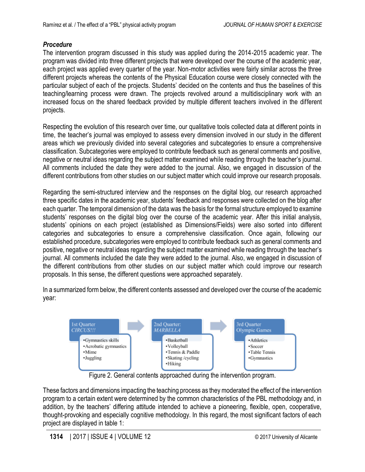# *Procedure*

The intervention program discussed in this study was applied during the 2014-2015 academic year. The program was divided into three different projects that were developed over the course of the academic year, each project was applied every quarter of the year. Non-motor activities were fairly similar across the three different projects whereas the contents of the Physical Education course were closely connected with the particular subject of each of the projects. Students' decided on the contents and thus the baselines of this teaching/learning process were drawn. The projects revolved around a multidisciplinary work with an increased focus on the shared feedback provided by multiple different teachers involved in the different projects.

Respecting the evolution of this research over time, our qualitative tools collected data at different points in time, the teacher's journal was employed to assess every dimension involved in our study in the different areas which we previously divided into several categories and subcategories to ensure a comprehensive classification. Subcategories were employed to contribute feedback such as general comments and positive, negative or neutral ideas regarding the subject matter examined while reading through the teacher's journal. All comments included the date they were added to the journal. Also, we engaged in discussion of the different contributions from other studies on our subject matter which could improve our research proposals.

Regarding the semi-structured interview and the responses on the digital blog, our research approached three specific dates in the academic year, students' feedback and responses were collected on the blog after each quarter. The temporal dimension of the data was the basis for the formal structure employed to examine students' responses on the digital blog over the course of the academic year. After this initial analysis, students' opinions on each project (established as Dimensions/Fields) were also sorted into different categories and subcategories to ensure a comprehensive classification. Once again, following our established procedure, subcategories were employed to contribute feedback such as general comments and positive, negative or neutral ideas regarding the subject matter examined while reading through the teacher's journal. All comments included the date they were added to the journal. Also, we engaged in discussion of the different contributions from other studies on our subject matter which could improve our research proposals. In this sense, the different questions were approached separately.

In a summarized form below, the different contents assessed and developed over the course of the academic year:



Figure 2. General contents approached during the intervention program.

These factors and dimensions impacting the teaching process as they moderated the effect of the intervention program to a certain extent were determined by the common characteristics of the PBL methodology and, in addition, by the teachers' differing attitude intended to achieve a pioneering, flexible, open, cooperative, thought-provoking and especially cognitive methodology. In this regard, the most significant factors of each project are displayed in table 1: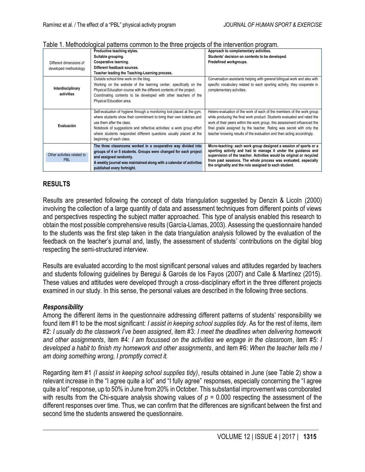|                                           | Productive teaching styles.                                             | Approach to complementary activities.                                                                                     |
|-------------------------------------------|-------------------------------------------------------------------------|---------------------------------------------------------------------------------------------------------------------------|
|                                           | Suitable grouping.                                                      | Students' decision on contents to be developed.                                                                           |
| Different dimensions of                   | Cooperative learning.                                                   | Predefined workgroups.                                                                                                    |
| developed methodology                     | Different feedback sources.                                             |                                                                                                                           |
|                                           | Teacher leading the Teaching-Learning process.                          |                                                                                                                           |
|                                           | Outside school time work on the blog.                                   | Conversation assistants helping with general bilingual work and also with                                                 |
|                                           | Working on the website of the learning center, specifically on the      | specific vocabulary related to each sporting activity, they cooperate in                                                  |
| Interdisciplinary                         | Physical Education course with the different contents of the project.   | complementary activities.                                                                                                 |
| activities                                | Coordinating contents to be developed with other teachers of the        |                                                                                                                           |
|                                           | Physical Education area.                                                |                                                                                                                           |
|                                           |                                                                         |                                                                                                                           |
|                                           | Self-evaluation of hygiene through a monitoring tool placed at the gym, | Hetero-evaluation of the work of each of the members of the work group                                                    |
|                                           | where students show their commitment to bring their own toiletries and  | while producing the final work product. Students evaluated and rated the                                                  |
| Evaluación                                | use them after the class.                                               | work of their peers within the work group, this assessment influenced the                                                 |
|                                           | Notebook of suggestions and reflective activities: a work group effort  | final grade assigned by the teacher. Rating was secret with only the                                                      |
|                                           | where students responded different questions usually placed at the      | teacher knowing results of the evaluation and then acting accordingly.                                                    |
|                                           | beginning of each class.                                                |                                                                                                                           |
|                                           | The three classrooms worked in a cooperative way divided into           | Micro-teaching: each work group designed a session of sports or a                                                         |
|                                           | groups of 4 or 5 students. Groups were changed for each project         | sporting activity and had to manage it under the guidance and                                                             |
| Other activities related to<br><b>PBL</b> | and assigned randomly.                                                  | supervision of the teacher. Activities would be original or recycled                                                      |
|                                           | A weekly journal was maintained along with a calendar of activities     | from past sessions. The whole process was evaluated, especially<br>the originality and the role assigned to each student. |
|                                           | published every fortnight.                                              |                                                                                                                           |

#### Table 1. Methodological patterns common to the three projects of the intervention program.

#### **RESULTS**

Results are presented following the concept of data triangulation suggested by Denzin & Licoln (2000) involving the collection of a large quantity of data and assessment techniques from different points of views and perspectives respecting the subject matter approached. This type of analysis enabled this research to obtain the most possible comprehensive results (García-Llamas, 2003)*.* Assessing the questionnaire handed to the students was the first step taken in the data triangulation analysis followed by the evaluation of the feedback on the teacher's journal and, lastly, the assessment of students' contributions on the digital blog respecting the semi-structured interview.

Results are evaluated according to the most significant personal values and attitudes regarded by teachers and students following guidelines by Beregui & Garcés de los Fayos (2007) and Calle & Martínez (2015). These values and attitudes were developed through a cross-disciplinary effort in the three different projects examined in our study. In this sense, the personal values are described in the following three sections.

#### *Responsibility*

Among the different items in the questionnaire addressing different patterns of students' responsibility we found item #1 to be the most significant: *I assist in keeping school supplies tidy*. As for the rest of items, item #2: *I usually do the classwork I've been assigned*, item #3: *I meet the deadlines when delivering homework and other assignments*, item #4: *I am focussed on the activities we engage in the classroom*, item #5: *I developed a habit to finish my homework and other assignments*, and item #6: *When the teacher tells me I am doing something wrong, I promptly correct it.*

Regarding item #1 *(I assist in keeping school supplies tidy)*, results obtained in June (see Table 2) show a relevant increase in the "I agree quite a lot" and "I fully agree" responses, especially concerning the "I agree quite a lot" response, up to 50% in June from 20% in October. This substantial improvement was corroborated with results from the Chi-square analysis showing values of *p =* 0.000 respecting the assessment of the different responses over time. Thus, we can confirm that the differences are significant between the first and second time the students answered the questionnaire.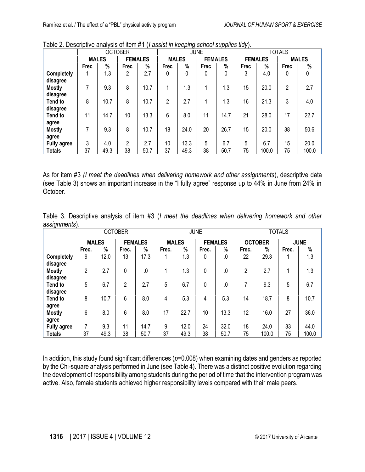|                    | <b>OCTOBER</b> |              |                |                |              | <b>JUNE</b> |             | <b>TOTALS</b>  |             |                |      |              |
|--------------------|----------------|--------------|----------------|----------------|--------------|-------------|-------------|----------------|-------------|----------------|------|--------------|
|                    |                | <b>MALES</b> |                | <b>FEMALES</b> | <b>MALES</b> |             |             | <b>FEMALES</b> |             | <b>FEMALES</b> |      | <b>MALES</b> |
|                    | <b>Frec</b>    | %            | <b>Frec</b>    | %              | <b>Frec</b>  | %           | <b>Frec</b> | %              | <b>Frec</b> | %              | Frec | %            |
| <b>Completely</b>  |                | 1.3          | 2              | 2.7            | 0            | 0           | 0           | $\Omega$       | 3           | 4.0            | 0    | 0            |
| disagree           |                |              |                |                |              |             |             |                |             |                |      |              |
| <b>Mostly</b>      | 7              | 9.3          | 8              | 10.7           |              | 1.3         | 1           | 1.3            | 15          | 20.0           | 2    | 2.7          |
| disagree           |                |              |                |                |              |             |             |                |             |                |      |              |
| Tend to            | 8              | 10.7         | 8              | 10.7           | 2            | 2.7         |             | 1.3            | 16          | 21.3           | 3    | 4.0          |
| disagree           |                |              |                |                |              |             |             |                |             |                |      |              |
| Tend to            | 11             | 14.7         | 10             | 13.3           | 6            | 8.0         | 11          | 14.7           | 21          | 28.0           | 17   | 22.7         |
| agree              |                |              |                |                |              |             |             |                |             |                |      |              |
| <b>Mostly</b>      | 7              | 9.3          | 8              | 10.7           | 18           | 24.0        | 20          | 26.7           | 15          | 20.0           | 38   | 50.6         |
| agree              |                |              |                |                |              |             |             |                |             |                |      |              |
| <b>Fully agree</b> | 3              | 4.0          | $\overline{2}$ | 2.7            | 10           | 13.3        | 5           | 6.7            | 5           | 6.7            | 15   | 20.0         |
| <b>Totals</b>      | 37             | 49.3         | 38             | 50.7           | 37           | 49.3        | 38          | 50.7           | 75          | 100.0          | 75   | 100.0        |

Table 2. Descriptive analysis of item #1 (*I assist in keeping school supplies tidy*).

As for item #3 *(I meet the deadlines when delivering homework and other assignments*), descriptive data (see Table 3) shows an important increase in the "I fully agree" response up to 44% in June from 24% in October.

Table 3. Descriptive analysis of item #3 (*I meet the deadlines when delivering homework and other assignments*).

| ັ                  | <b>OCTOBER</b> |      |       |                |       | <b>JUNE</b>                    |          | <b>TOTALS</b> |                               |       |       |       |
|--------------------|----------------|------|-------|----------------|-------|--------------------------------|----------|---------------|-------------------------------|-------|-------|-------|
|                    | <b>MALES</b>   |      |       | <b>FEMALES</b> |       | <b>MALES</b><br><b>FEMALES</b> |          |               | <b>OCTOBER</b><br><b>JUNE</b> |       |       |       |
|                    | Frec.          | %    | Frec. | %              | Frec. | %                              | Frec.    | %             | Frec.                         | %     | Frec. | %     |
| Completely         | 9              | 12.0 | 13    | 17.3           |       | 1.3                            | 0        | .0            | 22                            | 29.3  |       | 1.3   |
| disagree           |                |      |       |                |       |                                |          |               |                               |       |       |       |
| <b>Mostly</b>      | $\overline{2}$ | 2.7  | 0     | $0.$           |       | 1.3                            | 0        | .0            | 2                             | 2.7   | 1     | 1.3   |
| disagree           |                |      |       |                |       |                                |          |               |                               |       |       |       |
| Tend to            | 5              | 6.7  | 2     | 2.7            | 5     | 6.7                            | $\Omega$ | $.0 \,$       | 7                             | 9.3   | 5     | 6.7   |
| disagree           |                |      |       |                |       |                                |          |               |                               |       |       |       |
| Tend to            | 8              | 10.7 | 6     | 8.0            | 4     | 5.3                            | 4        | 5.3           | 14                            | 18.7  | 8     | 10.7  |
| agree              |                |      |       |                |       |                                |          |               |                               |       |       |       |
| <b>Mostly</b>      | 6              | 8.0  | 6     | 8.0            | 17    | 22.7                           | 10       | 13.3          | 12                            | 16.0  | 27    | 36.0  |
| agree              |                |      |       |                |       |                                |          |               |                               |       |       |       |
| <b>Fully agree</b> | 7              | 9.3  | 11    | 14.7           | 9     | 12.0                           | 24       | 32.0          | 18                            | 24.0  | 33    | 44.0  |
| <b>Totals</b>      | 37             | 49.3 | 38    | 50.7           | 37    | 49.3                           | 38       | 50.7          | 75                            | 100.0 | 75    | 100.0 |

In addition, this study found significant differences (*p=*0.008) when examining dates and genders as reported by the Chi-square analysis performed in June (see Table 4). There was a distinct positive evolution regarding the development of responsibility among students during the period of time that the intervention program was active. Also, female students achieved higher responsibility levels compared with their male peers.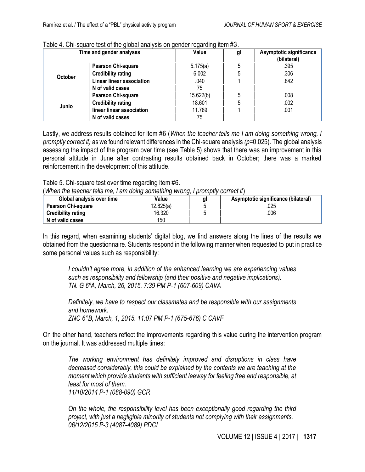|                | Time and gender analyses  | ັ<br>Value | gl | Asymptotic significance<br>(bilateral) |
|----------------|---------------------------|------------|----|----------------------------------------|
|                | Pearson Chi-square        | 5.175(a)   | 5  | .395                                   |
| <b>October</b> | <b>Credibility rating</b> | 6.002      | 5  | .306                                   |
|                | Linear linear association | .040       |    | .842                                   |
|                | N of valid cases          | 75         |    |                                        |
|                | Pearson Chi-square        | 15.622(b)  | 5  | .008                                   |
| Junio          | <b>Credibility rating</b> | 18.601     | 5  | .002                                   |
|                | linear linear association | 11.789     |    | .001                                   |
|                | N of valid cases          | 75         |    |                                        |

#### Table 4. Chi-square test of the global analysis on gender regarding item #3.

Lastly, we address results obtained for item #6 (*When the teacher tells me I am doing something wrong, I promptly correct it)* as we found relevant differences in the Chi-square analysis *(p*=0.025). The global analysis assessing the impact of the program over time (see Table 5) shows that there was an improvement in this personal attitude in June after contrasting results obtained back in October; there was a marked reinforcement in the development of this attitude.

Table 5. Chi-square test over time regarding item #6.

(*When the teacher tells me, I am doing something wrong, I promptly correct it*)

| Global analysis over time | Value     | gl | Asymptotic significance (bilateral) |
|---------------------------|-----------|----|-------------------------------------|
| <b>Pearson Chi-square</b> | 12.825(a) |    | 025                                 |
| <b>Credibility rating</b> | 16.320    |    | 006                                 |
| N of valid cases          | 150       |    |                                     |

In this regard, when examining students' digital blog, we find answers along the lines of the results we obtained from the questionnaire. Students respond in the following manner when requested to put in practice some personal values such as responsibility:

*I couldn't agree more, in addition of the enhanced learning we are experiencing values such as responsibility and fellowship (and their positive and negative implications). TN. G 6ºA, March, 26, 2015. 7:39 PM P-1 (607-609) CAVA*

*Definitely, we have to respect our classmates and be responsible with our assignments and homework. ZNC 6°B, March, 1, 2015. 11:07 PM P-1 (675-676) C CAVF*

On the other hand, teachers reflect the improvements regarding this value during the intervention program on the journal. It was addressed multiple times:

*The working environment has definitely improved and disruptions in class have decreased considerably, this could be explained by the contents we are teaching at the moment which provide students with sufficient leeway for feeling free and responsible, at least for most of them. 11/10/2014 P-1 (088-090) GCR*

*On the whole, the responsibility level has been exceptionally good regarding the third project, with just a negligible minority of students not complying with their assignments. 06/12/2015 P-3 (4087-4089) PDCI*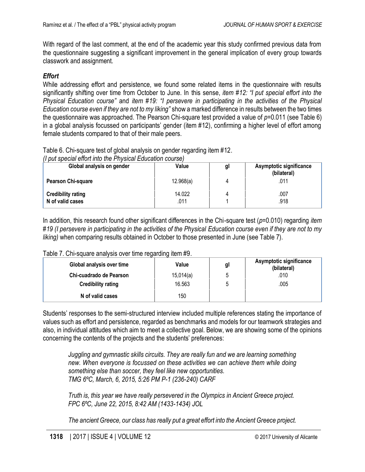With regard of the last comment, at the end of the academic year this study confirmed previous data from the questionnaire suggesting a significant improvement in the general implication of every group towards classwork and assignment.

# *Effort*

While addressing effort and persistence, we found some related items in the questionnaire with results significantly shifting over time from October to June. In this sense, *item #12: "I put special effort into the Physical Education course"* and *item #19: "I persevere in participating in the activities of the Physical Education course even if they are not to my liking"* show a marked difference in results between the two times the questionnaire was approached. The Pearson Chi-square test provided a value of *p=*0.011 (see Table 6) in a global analysis focussed on participants' gender (item #12), confirming a higher level of effort among female students compared to that of their male peers.

Table 6. Chi-square test of global analysis on gender regarding item #12.

*(I put special effort into the Physical Education course)*

| Global analysis on gender                     | Value          | gl | <b>Asymptotic significance</b><br>(bilateral) |
|-----------------------------------------------|----------------|----|-----------------------------------------------|
| <b>Pearson Chi-square</b>                     | 12.968(a)      | 4  | .011                                          |
| <b>Credibility rating</b><br>N of valid cases | 14.022<br>.011 |    | .007<br>.918                                  |

In addition, this research found other significant differences in the Chi-square test (*p=*0.010) regarding *item #19 (I persevere in participating in the activities of the Physical Education course even if they are not to my liking)* when comparing results obtained in October to those presented in June (see Table 7).

| Global analysis over time | Value     | gl | Asymptotic significance<br>(bilateral) |
|---------------------------|-----------|----|----------------------------------------|
| Chi-cuadrado de Pearson   | 15,014(a) |    | .010                                   |
| <b>Credibility rating</b> | 16.563    |    | .005                                   |
| N of valid cases          | 150       |    |                                        |

Table 7. Chi-square analysis over time regarding item #9.

Students' responses to the semi-structured interview included multiple references stating the importance of values such as effort and persistence, regarded as benchmarks and models for our teamwork strategies and also, in individual attitudes which aim to meet a collective goal. Below, we are showing some of the opinions concerning the contents of the projects and the students' preferences:

*Juggling and gymnastic skills circuits. They are really fun and we are learning something new. When everyone is focussed on these activities we can achieve them while doing something else than soccer, they feel like new opportunities. TMG 6ºC, March, 6, 2015, 5:26 PM P-1 (236-240) CARF* 

*Truth is, this year we have really persevered in the Olympics in Ancient Greece project. FPC 6ºC, June 22, 2015, 8:42 AM (1433-1434) JOL*

*The ancient Greece, our class has really put a great effort into the Ancient Greece project.*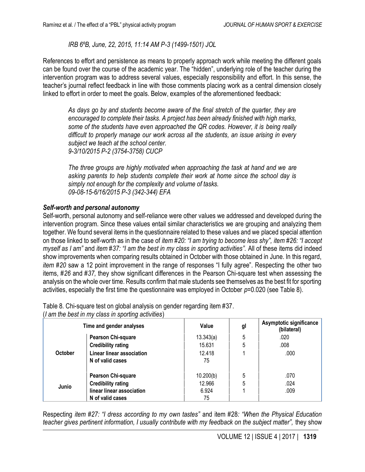*IRB 6ºB, June, 22, 2015, 11:14 AM P-3 (1499-1501) JOL*

References to effort and persistence as means to properly approach work while meeting the different goals can be found over the course of the academic year. The "hidden", underlying role of the teacher during the intervention program was to address several values, especially responsibility and effort. In this sense, the teacher's journal reflect feedback in line with those comments placing work as a central dimension closely linked to effort in order to meet the goals. Below, examples of the aforementioned feedback:

*As days go by and students become aware of the final stretch of the quarter, they are encouraged to complete their tasks. A project has been already finished with high marks, some of the students have even approached the QR codes. However, it is being really difficult to properly manage our work across all the students, an issue arising in every subject we teach at the school center. 9-3/10/2015 P-2 (3754-3758) CUCP*

*The three groups are highly motivated when approaching the task at hand and we are asking parents to help students complete their work at home since the school day is simply not enough for the complexity and volume of tasks. 09-08-15-6/16/2015 P-3 (342-344) EFA*

## *Self-worth and personal autonomy*

Self-worth, personal autonomy and self-reliance were other values we addressed and developed during the intervention program. Since these values entail similar characteristics we are grouping and analyzing them together. We found several items in the questionnaire related to these values and we placed special attention on those linked to self-worth as in the case of *item #20: "I am trying to become less shy", item #26: "I accept myself as I am"* and *item #37: "I am the best in my class in sporting activities".* All of these items did indeed show improvements when comparing results obtained in October with those obtained in June. In this regard, *item #20* saw a 12 point improvement in the range of responses "I fully agree". Respecting the other two items, #*26* and #*37,* they show significant differences in the Pearson Chi-square test when assessing the analysis on the whole over time. Results confirm that male students see themselves as the best fit for sporting activities, especially the first time the questionnaire was employed in October *p*=0.020 (see Table 8).

Table 8*.* Chi-square test on global analysis on gender regarding item #37.

(*I am the best in my class in sporting activities*)

|                | Time and gender analyses  | Value     | gl | Asymptotic significance<br>(bilateral) |
|----------------|---------------------------|-----------|----|----------------------------------------|
|                | <b>Pearson Chi-square</b> | 13.343(a) | 5  | .020                                   |
|                | <b>Credibility rating</b> | 15.631    | 5  | .008                                   |
| <b>October</b> | Linear linear association | 12.418    |    | .000                                   |
|                | N of valid cases          | 75        |    |                                        |
|                | <b>Pearson Chi-square</b> | 10.200(b) | 5  | .070                                   |
| Junio          | <b>Credibility rating</b> | 12.966    | 5  | .024                                   |
|                | linear linear association | 6.924     |    | .009                                   |
|                | N of valid cases          | 75        |    |                                        |

Respecting *item #27: "I dress according to my own tastes"* and item #28*: "When the Physical Education teacher gives pertinent information, I usually contribute with my feedback on the subject matter", they show*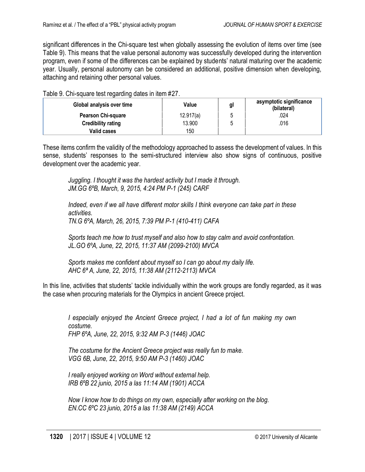significant differences in the Chi-square test when globally assessing the evolution of items over time (see Table 9). This means that the value personal autonomy was successfully developed during the intervention program, even if some of the differences can be explained by students' natural maturing over the academic year. Usually, personal autonomy can be considered an additional, positive dimension when developing, attaching and retaining other personal values.

Table 9. Chi-square test regarding dates in item #27.

| Global analysis over time | Value     | gl | asymptotic significance<br>(bilateral) |
|---------------------------|-----------|----|----------------------------------------|
| <b>Pearson Chi-square</b> | 12.917(a) | ∽  | .024                                   |
| <b>Credibility rating</b> | 13.900    |    | .016                                   |
| <b>Valid cases</b>        | 150       |    |                                        |

These items confirm the validity of the methodology approached to assess the development of values. In this sense, students' responses to the semi-structured interview also show signs of continuous, positive development over the academic year.

*Juggling. I thought it was the hardest activity but I made it through. JM.GG 6ºB, March, 9, 2015, 4:24 PM P-1 (245) CARF*

*Indeed, even if we all have different motor skills I think everyone can take part in these activities. TN.G 6ºA, March, 26, 2015, 7:39 PM P-1 (410-411) CAFA*

*Sports teach me how to trust myself and also how to stay calm and avoid confrontation. JL.GO 6ºA, June, 22, [2015, 11:37 A](https://blogefvicentealeixandre.wordpress.com/2015/06/17/chicos-y-chicas-llegamos-al-final-del-cursovamos-a-evaluar-el-proyecto-de-las-olimpiadas-y-el-curso-en-general/comment-page-1/#comment-364)M (2099-2100) MVCA*

*Sports makes me confident about myself so I can go about my daily life. AHC 6ª A, June, 2[2, 2015, 11:38 A](https://blogefvicentealeixandre.wordpress.com/2015/06/17/chicos-y-chicas-llegamos-al-final-del-cursovamos-a-evaluar-el-proyecto-de-las-olimpiadas-y-el-curso-en-general/comment-page-1/#comment-365)M (2112-2113) MVCA*

In this line, activities that students' tackle individually within the work groups are fondly regarded, as it was the case when procuring materials for the Olympics in ancient Greece project.

*I especially enjoyed the Ancient Greece project, I had a lot of fun making my own costume. FHP 6ºA, June, 22, 2015, 9:32 AM P-3 (1446) JOAC*

*The costume for the Ancient Greece project was really fun to make. VGG 6B, June, 22, 2015, 9:50 AM P-3 (1460) JOAC*

*I really enjoyed working on Word without external help. IRB 6ºB 22 junio, 2015 a las 11:14 AM (1901) ACCA*

*Now I know how to do things on my own, especially after working on the blog. EN.CC 6ºC 23 junio, 2015 a las 11:38 AM (2149) ACCA*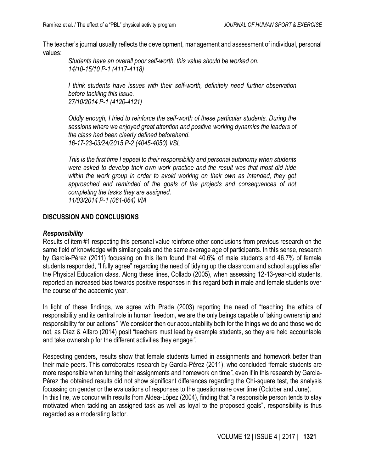The teacher's journal usually reflects the development, management and assessment of individual, personal values:

*Students have an overall poor self-worth, this value should be worked on. 14/10-15/10 P-1 (4117-4118)*

*I think students have issues with their self-worth, definitely need further observation before tackling this issue. 27/10/2014 P-1 (4120-4121)* 

*Oddly enough, I tried to reinforce the self-worth of these particular students. During the sessions where we enjoyed great attention and positive working dynamics the leaders of the class had been clearly defined beforehand. 16-17-23-03/24/2015 P-2 (4045-4050) VSL*

*This is the first time I appeal to their responsibility and personal autonomy when students were asked to develop their own work practice and the result was that most did hide*  within the work group in order to avoid working on their own as intended, they got *approached and reminded of the goals of the projects and consequences of not completing the tasks they are assigned. 11/03/2014 P-1 (061-064) VIA*

#### **DISCUSSION AND CONCLUSIONS**

#### *Responsibility*

Results of item #1 respecting this personal value reinforce other conclusions from previous research on the same field of knowledge with similar goals and the same average age of participants. In this sense, research by García-Pérez (2011) focussing on this item found that 40.6% of male students and 46.7% of female students responded, "I fully agree" regarding the need of tidying up the classroom and school supplies after the Physical Education class. Along these lines, Collado (2005), when assessing 12-13-year-old students, reported an increased bias towards positive responses in this regard both in male and female students over the course of the academic year.

In light of these findings, we agree with Prada (2003) reporting the need of "teaching the ethics of responsibility and its central role in human freedom, we are the only beings capable of taking ownership and responsibility for our actions*".* We consider then our accountability both for the things we do and those we do not, as Díaz & Alfaro (2014) posit "teachers must lead by example students, so they are held accountable and take ownership for the different activities they engage*".*

Respecting genders, results show that female students turned in assignments and homework better than their male peers. This corroborates research by García-Pérez (2011), who concluded *"*female students are more responsible when turning their assignments and homework on time*"*, even if in this research by García-Pérez the obtained results did not show significant differences regarding the Chi-square test, the analysis focussing on gender or the evaluations of responses to the questionnaire over time (October and June). In this line, we concur with results from Aldea-López (2004), finding that "a responsible person tends to stay motivated when tackling an assigned task as well as loyal to the proposed goals"*,* responsibility is thus regarded as a moderating factor.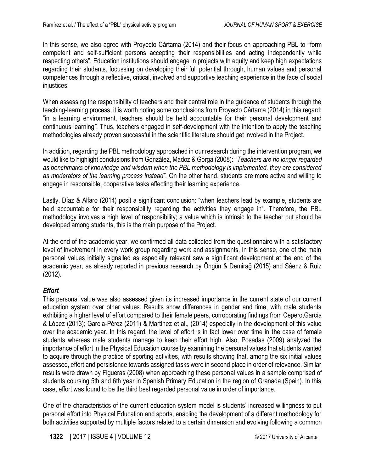In this sense, we also agree with Proyecto Cártama (2014) and their focus on approaching PBL to *"*form competent and self-sufficient persons accepting their responsibilities and acting independently while respecting others". Education institutions should engage in projects with equity and keep high expectations regarding their students, focussing on developing their full potential through, human values and personal competences through a reflective, critical, involved and supportive teaching experience in the face of social injustices.

When assessing the responsibility of teachers and their central role in the guidance of students through the teaching-learning process, it is worth noting some conclusions from Proyecto Cártama (2014) in this regard: "in a learning environment, teachers should be held accountable for their personal development and continuous learning*".* Thus, teachers engaged in self-development with the intention to apply the teaching methodologies already proven successful in the scientific literature should get involved in the Project.

In addition, regarding the PBL methodology approached in our research during the intervention program, we would like to highlight conclusions from González, Madoz & Gorga (2008): *"Teachers are no longer regarded as benchmarks of knowledge and wisdom when the PBL methodology is implemented, they are considered as moderators of the learning process instead".* On the other hand, students are more active and willing to engage in responsible, cooperative tasks affecting their learning experience.

Lastly, Díaz & Alfaro (2014) posit a significant conclusion: "when teachers lead by example, students are held accountable for their responsibility regarding the activities they engage in"*.* Therefore, the PBL methodology involves a high level of responsibility; a value which is intrinsic to the teacher but should be developed among students, this is the main purpose of the Project.

At the end of the academic year, we confirmed all data collected from the questionnaire with a satisfactory level of involvement in every work group regarding work and assignments. In this sense, one of the main personal values initially signalled as especially relevant saw a significant development at the end of the academic year, as already reported in previous research by Öngün & Demirağ (2015) and Sáenz & Ruiz (2012).

# *Effort*

This personal value was also assessed given its increased importance in the current state of our current education system over other values. Results show differences in gender and time, with male students exhibiting a higher level of effort compared to their female peers, corroborating findings from Cepero,García & López (2013); García-Pérez (2011) & Martínez et al., (2014) especially in the development of this value over the academic year. In this regard, the level of effort is in fact lower over time in the case of female students whereas male students manage to keep their effort high. Also, Posadas (2009) analyzed the importance of effort in the Physical Education course by examining the personal values that students wanted to acquire through the practice of sporting activities, with results showing that, among the six initial values assessed, effort and persistence towards assigned tasks were in second place in order of relevance. Similar results were drawn by Figueras (2008) when approaching these personal values in a sample comprised of students coursing 5th and 6th year in Spanish Primary Education in the region of Granada (Spain). In this case, effort was found to be the third best regarded personal value in order of importance.

One of the characteristics of the current education system model is students' increased willingness to put personal effort into Physical Education and sports, enabling the development of a different methodology for both activities supported by multiple factors related to a certain dimension and evolving following a common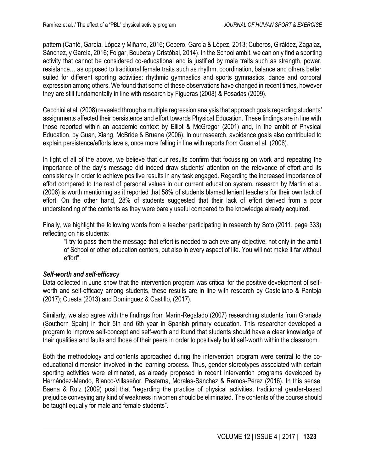pattern (Cantó, García, López y Miñarro, 2016; Cepero, García & López, 2013; Cuberos, Giráldez, Zagalaz, Sánchez, y García, 2016; Folgar, Boubeta y Cristóbal, 2014). In the School ambit, we can only find a sporting activity that cannot be considered co-educational and is justified by male traits such as strength, power, resistance… as opposed to traditional female traits such as rhythm, coordination, balance and others better suited for different sporting activities: rhythmic gymnastics and sports gymnastics, dance and corporal expression among others. We found that some of these observations have changed in recent times, however they are still fundamentally in line with research by Figueras (2008) & Posadas (2009).

Cecchini et al. (2008) revealed through a multiple regression analysis that approach goals regarding students' assignments affected their persistence and effort towards Physical Education. These findings are in line with those reported within an academic context by Elliot & McGregor (2001) and, in the ambit of Physical Education, by Guan, Xiang, McBride & Bruene (2006). In our research, avoidance goals also contributed to explain persistence/efforts levels, once more falling in line with reports from Guan et al. (2006).

In light of all of the above, we believe that our results confirm that focussing on work and repeating the importance of the day's message did indeed draw students' attention on the relevance of effort and its consistency in order to achieve positive results in any task engaged. Regarding the increased importance of effort compared to the rest of personal values in our current education system, research by Martín et al. (2006) is worth mentioning as it reported that 58% of students blamed lenient teachers for their own lack of effort. On the other hand, 28% of students suggested that their lack of effort derived from a poor understanding of the contents as they were barely useful compared to the knowledge already acquired.

Finally, we highlight the following words from a teacher participating in research by Soto (2011, page 333) reflecting on his students:

"I try to pass them the message that effort is needed to achieve any objective, not only in the ambit of School or other education centers, but also in every aspect of life. You will not make it far without effort".

# *Self-worth and self-efficacy*

Data collected in June show that the intervention program was critical for the positive development of selfworth and self-efficacy among students, these results are in line with research by Castellano & Pantoja (2017); Cuesta (2013) and Domínguez & Castillo, (2017).

Similarly, we also agree with the findings from Marín-Regalado (2007) researching students from Granada (Southern Spain) in their 5th and 6th year in Spanish primary education. This researcher developed a program to improve self-concept and self-worth and found that students should have a clear knowledge of their qualities and faults and those of their peers in order to positively build self-worth within the classroom.

Both the methodology and contents approached during the intervention program were central to the coeducational dimension involved in the learning process. Thus, gender stereotypes associated with certain sporting activities were eliminated, as already proposed in recent intervention programs developed by Hernández-Mendo, Blanco-Villaseñor, Pastarna, Morales-Sánchez & Ramos-Pérez (2016). In this sense, Baena & Ruiz (2009) posit that "regarding the practice of physical activities, traditional gender-based prejudice conveying any kind of weakness in women should be eliminated. The contents of the course should be taught equally for male and female students".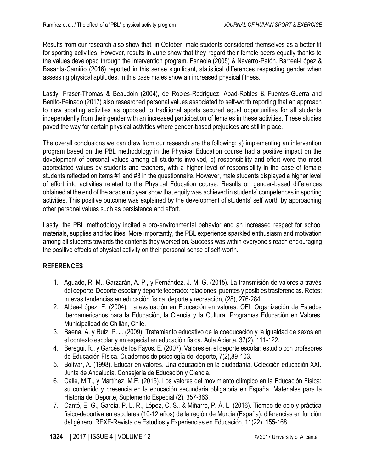Results from our research also show that, in October, male students considered themselves as a better fit for sporting activities. However, results in June show that they regard their female peers equally thanks to the values developed through the intervention program. Esnaola (2005) & Navarro-Patón, Barreal-López & Basanta-Camiño (2016) reported in this sense significant, statistical differences respecting gender when assessing physical aptitudes, in this case males show an increased physical fitness.

Lastly, Fraser-Thomas & Beaudoin (2004), de Robles-Rodríguez, Abad-Robles & Fuentes-Guerra and Benito-Peinado (2017) also researched personal values associated to self-worth reporting that an approach to new sporting activities as opposed to traditional sports secured equal opportunities for all students independently from their gender with an increased participation of females in these activities. These studies paved the way for certain physical activities where gender-based prejudices are still in place.

The overall conclusions we can draw from our research are the following: a) implementing an intervention program based on the PBL methodology in the Physical Education course had a positive impact on the development of personal values among all students involved, b) responsibility and effort were the most appreciated values by students and teachers, with a higher level of responsibility in the case of female students reflected on items #1 and #3 in the questionnaire. However, male students displayed a higher level of effort into activities related to the Physical Education course. Results on gender-based differences obtained at the end of the academic year show that equity was achieved in students' competences in sporting activities. This positive outcome was explained by the development of students' self worth by approaching other personal values such as persistence and effort.

Lastly, the PBL methodology incited a pro-environmental behavior and an increased respect for school materials, supplies and facilities. More importantly, the PBL experience sparkled enthusiasm and motivation among all students towards the contents they worked on. Success was within everyone's reach encouraging the positive effects of physical activity on their personal sense of self-worth.

# **REFERENCES**

- 1. Aguado, R. M., Garzarán, A. P., y Fernández, J. M. G. (2015). La transmisión de valores a través del deporte. Deporte escolar y deporte federado: relaciones, puentes y posibles trasferencias. Retos: nuevas tendencias en educación física, deporte y recreación, (28), 276-284.
- 2. Aldea-López, E. (2004). La evaluación en Educación en valores. OEI, Organización de Estados Iberoamericanos para la Educación, la Ciencia y la Cultura. Programas Educación en Valores. Municipalidad de Chillán, Chile.
- 3. Baena, A. y Ruiz, P. J. (2009). Tratamiento educativo de la coeducación y la igualdad de sexos en el contexto escolar y en especial en educación física. Aula Abierta, 37(2), 111-122.
- 4. Beregui, R., y Garcés de los Fayos, E. (2007). Valores en el deporte escolar: estudio con profesores de Educación Física. Cuadernos de psicología del deporte, 7(2),89-103.
- 5. Bolívar, A. (1998). Educar en valores. Una educación en la ciudadanía. Colección educación XXI. Junta de Andalucía. Consejería de Educación y Ciencia.
- 6. Calle, M.T., y Martínez, M.E. (2015). Los valores del movimiento olímpico en la Educación Física: su contenido y presencia en la educación secundaria obligatoria en España. Materiales para la Historia del Deporte, Suplemento Especial (2), 357-363.
- 7. Cantó, E. G., García, P. L. R., López, C. S., & Miñarro, P. Á. L. (2016). Tiempo de ocio y práctica físico-deportiva en escolares (10-12 años) de la región de Murcia (España): diferencias en función del género. REXE-Revista de Estudios y Experiencias en Educación, 11(22), 155-168.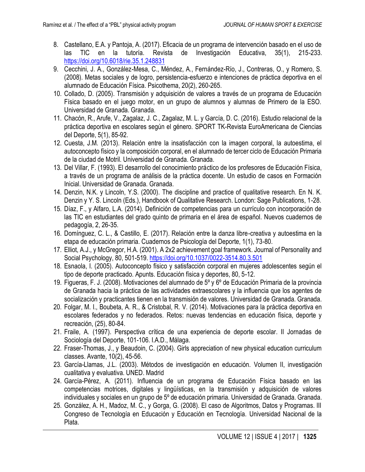- 8. Castellano, E.A. y Pantoja, A. (2017). Eficacia de un programa de intervención basado en el uso de las TIC en la tutoría. Revista de Investigación Educativa, 35(1), 215-233. <https://doi.org/10.6018/rie.35.1.248831>
- 9. Cecchini, J. A., González-Mesa, C., Méndez, A., Fernández-Río, J., Contreras, O., y Romero, S. (2008). Metas sociales y de logro, persistencia-esfuerzo e intenciones de práctica deportiva en el alumnado de Educación Física. Psicothema, 20(2), 260-265.
- 10. Collado, D. (2005). Transmisión y adquisición de valores a través de un programa de Educación Física basado en el juego motor, en un grupo de alumnos y alumnas de Primero de la ESO. Universidad de Granada. Granada.
- 11. Chacón, R., Arufe, V., Zagalaz, J. C., Zagalaz, M. L. y García, D. C. (2016). Estudio relacional de la práctica deportiva en escolares según el género. SPORT TK-Revista EuroAmericana de Ciencias del Deporte, 5(1), 85-92.
- 12. Cuesta, J.M. (2013). Relación entre la insatisfacción con la imagen corporal, la autoestima, el autoconcepto físico y la composición corporal, en el alumnado de tercer ciclo de Educación Primaria de la ciudad de Motril. Universidad de Granada. Granada.
- 13. Del Villar, F. (1993). El desarrollo del conocimiento práctico de los profesores de Educación Física, a través de un programa de análisis de la práctica docente. Un estudio de casos en Formación Inicial. Universidad de Granada. Granada.
- 14. Denzin, N.K. y Lincoln, Y.S. (2000). The discipline and practice of qualitative research. En N. K. Denzin y Y. S. Lincoln (Eds.), Handbook of Qualitative Research. London: Sage Publications, 1-28.
- 15. Díaz, F., y Alfaro, L.A. (2014). Definición de competencias para un currículo con incorporación de las TIC en estudiantes del grado quinto de primaria en el área de español. Nuevos cuadernos de pedagogía, 2, 26-35.
- 16. Domínguez, C. L., & Castillo, E. (2017). Relación entre la danza libre-creativa y autoestima en la etapa de educación primaria. Cuadernos de Psicología del Deporte, 1(1), 73-80.
- 17. Elliot, A.J., y McGregor, H.A. (2001). A 2x2 achievement goal framework. Journal of Personality and Social Psychology, 80, 501-519.<https://doi.org/10.1037/0022-3514.80.3.501>
- 18. Esnaola, I. (2005). Autoconcepto físico y satisfacción corporal en mujeres adolescentes según el tipo de deporte practicado. Apunts. Educación física y deportes, 80, 5-12.
- 19. Figueras, F. J. (2008). Motivaciones del alumnado de 5º y 6º de Educación Primaria de la provincia de Granada hacia la práctica de las actividades extraescolares y la influencia que los agentes de socialización y practicantes tienen en la transmisión de valores. Universidad de Granada. Granada.
- 20. Folgar, M. I., Boubeta, A. R., & Cristobal, R. V. (2014). Motivaciones para la práctica deportiva en escolares federados y no federados. Retos: nuevas tendencias en educación física, deporte y recreación, (25), 80-84.
- 21. Fraile, A. (1997). Perspectiva crítica de una experiencia de deporte escolar. II Jornadas de Sociología del Deporte, 101-106. I.A.D., Málaga.
- 22. Fraser-Thomas, J., y Beaudoin, C. (2004). Girls appreciation of new physical education curriculum classes. Avante, 10(2), 45-56.
- 23. García-Llamas, J.L. (2003). Métodos de investigación en educación. Volumen II, investigación cualitativa y evaluativa. UNED. Madrid
- 24. García-Pérez, A. (2011). Influencia de un programa de Educación Física basado en las competencias motrices, digitales y lingüísticas, en la transmisión y adquisición de valores individuales y sociales en un grupo de 5º de educación primaria. Universidad de Granada. Granada.
- 25. González, A. H., Madoz, M. C., y Gorga, G. (2008). El caso de Algoritmos, Datos y Programas. III Congreso de Tecnología en Educación y Educación en Tecnología. Universidad Nacional de la Plata.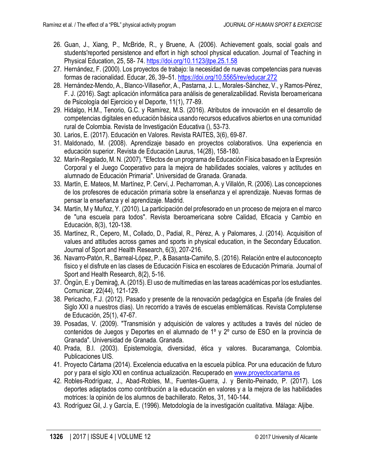- 26. Guan, J., Xiang, P., McBride, R., y Bruene, A. (2006). Achievement goals, social goals and students'reported persistence and effort in high school physical education. Journal of Teaching in Physical Education, 25, 58- 74.<https://doi.org/10.1123/jtpe.25.1.58>
- 27. Hernández, F. (2000). Los proyectos de trabajo: la necesidad de nuevas competencias para nuevas formas de racionalidad. Educar, 26, 39–51[. https://doi.org/10.5565/rev/educar.272](https://doi.org/10.5565/rev/educar.272)
- 28. Hernández-Mendo, A., Blanco-Villaseñor, A., Pastarna, J. L., Morales-Sánchez, V., y Ramos-Pérez, F. J. (2016). Sagt: aplicación informática para análisis de generalizabilidad. Revista Iberoamericana de Psicología del Ejercicio y el Deporte, 11(1), 77-89.
- 29. Hidalgo, H.M., Tenorio, G.C. y Ramírez, M.S. (2016). Atributos de innovación en el desarrollo de competencias digitales en educación básica usando recursos educativos abiertos en una comunidad rural de Colombia. Revista de Investigación Educativa (), 53-73.
- 30. Larios, E. (2017). Educación en Valores. Revista RAITES, 3(6), 69-87.
- 31. Maldonado, M. (2008). Aprendizaje basado en proyectos colaborativos. Una experiencia en educación superior. Revista de Educación Laurus, 14(28), 158-180.
- 32. Marín-Regalado, M. N. (2007). "Efectos de un programa de Educación Física basado en la Expresión Corporal y el Juego Cooperativo para la mejora de habilidades sociales, valores y actitudes en alumnado de Educación Primaria". Universidad de Granada. Granada.
- 33. Martín, E. Mateos, M. Martínez, P. Cerví, J. Pecharroman, A. y Villalón, R. (2006). Las concepciones de los profesores de educación primaria sobre la enseñanza y el aprendizaje. Nuevas formas de pensar la enseñanza y el aprendizaje. Madrid.
- 34. Martín, M y Muñoz, Y. (2010). La participación del profesorado en un proceso de mejora en el marco de "una escuela para todos". Revista Iberoamericana sobre Calidad, Eficacia y Cambio en Educación, 8(3), 120-138.
- 35. Martínez, R., Cepero, M., Collado, D., Padial, R., Pérez, A. y Palomares, J. (2014). Acquisition of values and attitudes across games and sports in physical education, in the Secondary Education. Journal of Sport and Health Research, 6(3), 207-216.
- 36. Navarro-Patón, R., Barreal-López, P., & Basanta-Camiño, S. (2016). Relación entre el autoconcepto físico y el disfrute en las clases de Educación Física en escolares de Educación Primaria. Journal of Sport and Health Research, 8(2), 5-16.
- 37. Öngün, E. y Demirağ, A. (2015). El uso de multimedias en las tareas académicas por los estudiantes. Comunicar, 22(44), 121-129.
- 38. Pericacho, F.J. (2012). Pasado y presente de la renovación pedagógica en España (de finales del Siglo XXI a nuestros días). Un recorrido a través de escuelas emblemáticas. Revista Complutense de Educación, 25(1), 47-67.
- 39. Posadas, V. (2009). "Transmisión y adquisición de valores y actitudes a través del núcleo de contenidos de Juegos y Deportes en el alumnado de 1º y 2º curso de ESO en la provincia de Granada". Universidad de Granada. Granada.
- 40. Prada, B.I. (2003). Epistemología, diversidad, ética y valores. Bucaramanga, Colombia. Publicaciones UIS.
- 41. Proyecto Cártama (2014). Excelencia educativa en la escuela pública. Por una educación de futuro por y para el siglo XXI en continua actualización. Recuperado e[n www.proyectocartama.es](http://www.proyectocartama.es/)
- 42. Robles-Rodríguez, J., Abad-Robles, M., Fuentes-Guerra, J. y Benito-Peinado, P. (2017). Los deportes adaptados como contribución a la educación en valores y a la mejora de las habilidades motrices: la opinión de los alumnos de bachillerato. Retos, 31, 140-144.
- 43. Rodríguez Gil, J. y García, E. (1996). Metodología de la investigación cualitativa. Málaga: Aljibe.